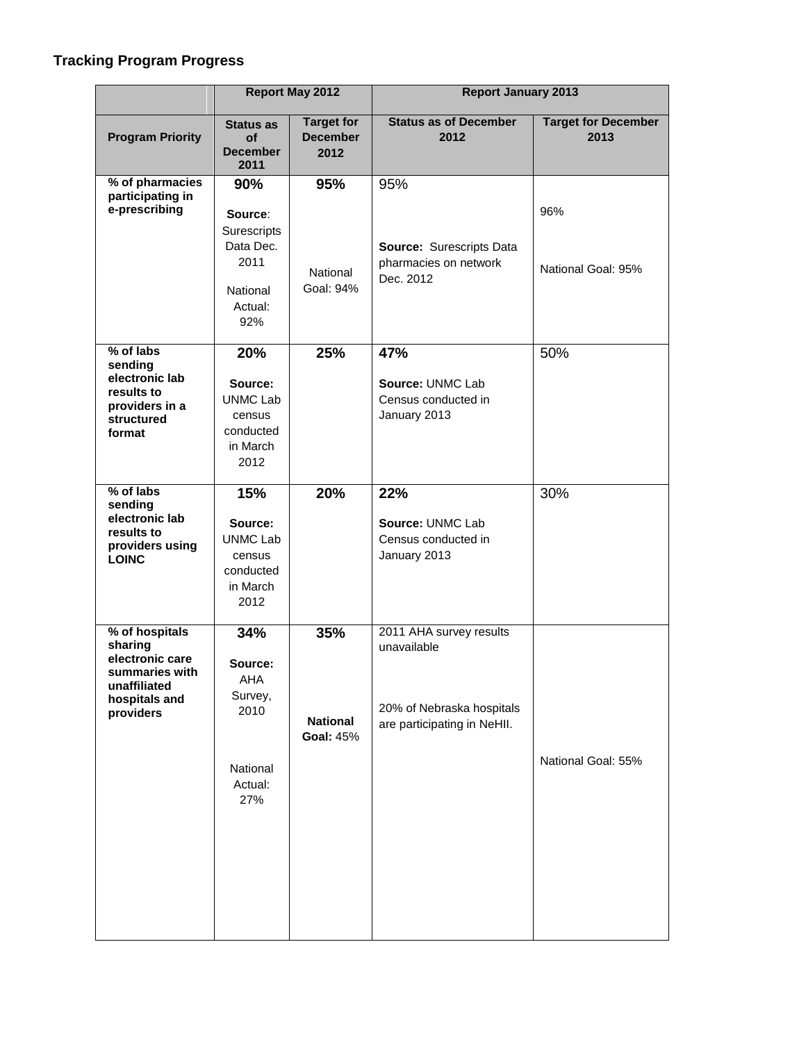## **Tracking Program Progress**

|                                                                                                              | <b>Report May 2012</b>                                                       |                                              | <b>Report January 2013</b>                                                                         |                                    |
|--------------------------------------------------------------------------------------------------------------|------------------------------------------------------------------------------|----------------------------------------------|----------------------------------------------------------------------------------------------------|------------------------------------|
| <b>Program Priority</b>                                                                                      | <b>Status as</b><br><b>of</b><br><b>December</b><br>2011                     | <b>Target for</b><br><b>December</b><br>2012 | <b>Status as of December</b><br>2012                                                               | <b>Target for December</b><br>2013 |
| % of pharmacies<br>participating in<br>e-prescribing                                                         | 90%<br>Source:                                                               | 95%                                          | 95%                                                                                                | 96%                                |
|                                                                                                              | Surescripts<br>Data Dec.<br>2011<br>National<br>Actual:<br>92%               | National<br>Goal: 94%                        | Source: Surescripts Data<br>pharmacies on network<br>Dec. 2012                                     | National Goal: 95%                 |
| % of labs<br>sending                                                                                         | 20%                                                                          | 25%                                          | 47%                                                                                                | 50%                                |
| electronic lab<br>results to<br>providers in a<br>structured<br>format                                       | Source:<br><b>UNMC Lab</b><br>census<br>conducted<br>in March<br>2012        |                                              | Source: UNMC Lab<br>Census conducted in<br>January 2013                                            |                                    |
| % of labs<br>sending<br>electronic lab<br>results to<br>providers using<br><b>LOINC</b>                      | 15%<br>Source:<br><b>UNMC Lab</b><br>census<br>conducted<br>in March<br>2012 | 20%                                          | 22%<br>Source: UNMC Lab<br>Census conducted in<br>January 2013                                     | 30%                                |
| % of hospitals<br>sharing<br>electronic care<br>summaries with<br>unaffiliated<br>hospitals and<br>providers | 34%<br>Source:<br>AHA<br>Survey,<br>2010<br>National<br>Actual:<br>27%       | 35%<br><b>National</b><br><b>Goal: 45%</b>   | 2011 AHA survey results<br>unavailable<br>20% of Nebraska hospitals<br>are participating in NeHII. | National Goal: 55%                 |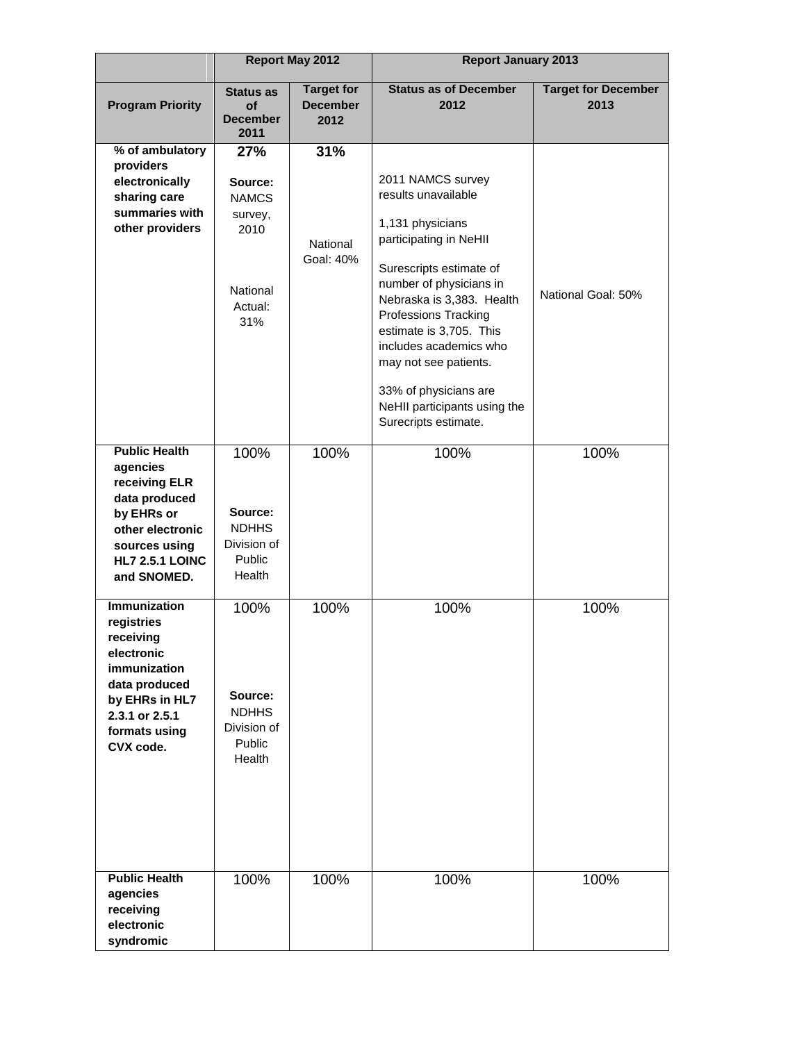|                                                                                                                                                                 | <b>Report May 2012</b>                                                          |                                              | <b>Report January 2013</b>                                                                                                                                                                                                                                                                                                                                       |                                    |  |
|-----------------------------------------------------------------------------------------------------------------------------------------------------------------|---------------------------------------------------------------------------------|----------------------------------------------|------------------------------------------------------------------------------------------------------------------------------------------------------------------------------------------------------------------------------------------------------------------------------------------------------------------------------------------------------------------|------------------------------------|--|
| <b>Program Priority</b>                                                                                                                                         | <b>Status as</b><br><b>of</b><br><b>December</b><br>2011                        | <b>Target for</b><br><b>December</b><br>2012 | <b>Status as of December</b><br>2012                                                                                                                                                                                                                                                                                                                             | <b>Target for December</b><br>2013 |  |
| % of ambulatory<br>providers<br>electronically<br>sharing care<br>summaries with<br>other providers                                                             | 27%<br>Source:<br><b>NAMCS</b><br>survey,<br>2010<br>National<br>Actual:<br>31% | 31%<br>National<br>Goal: 40%                 | 2011 NAMCS survey<br>results unavailable<br>1,131 physicians<br>participating in NeHII<br>Surescripts estimate of<br>number of physicians in<br>Nebraska is 3,383. Health<br>Professions Tracking<br>estimate is 3,705. This<br>includes academics who<br>may not see patients.<br>33% of physicians are<br>NeHII participants using the<br>Surecripts estimate. | National Goal: 50%                 |  |
| <b>Public Health</b><br>agencies<br>receiving ELR<br>data produced<br>by EHRs or<br>other electronic<br>sources using<br><b>HL7 2.5.1 LOINC</b><br>and SNOMED.  | 100%<br>Source:<br><b>NDHHS</b><br>Division of<br><b>Public</b><br>Health       | 100%                                         | 100%                                                                                                                                                                                                                                                                                                                                                             | 100%                               |  |
| <b>Immunization</b><br>registries<br>receiving<br>electronic<br>immunization<br>data produced<br>by EHRs in HL7<br>2.3.1 or 2.5.1<br>formats using<br>CVX code. | 100%<br>Source:<br><b>NDHHS</b><br>Division of<br>Public<br>Health              | 100%                                         | 100%                                                                                                                                                                                                                                                                                                                                                             | 100%                               |  |
| <b>Public Health</b><br>agencies<br>receiving<br>electronic<br>syndromic                                                                                        | 100%                                                                            | 100%                                         | 100%                                                                                                                                                                                                                                                                                                                                                             | 100%                               |  |